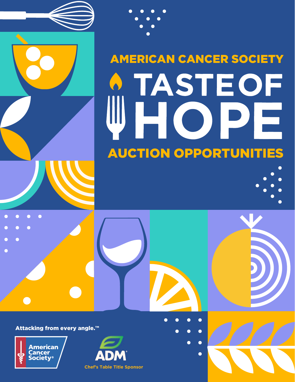

 $\bullet$ 

┍

 $\bullet$ 





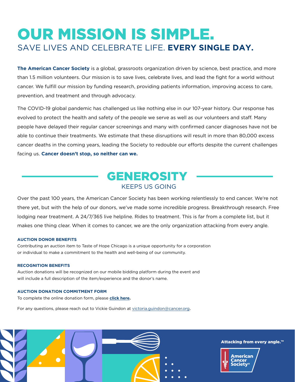## OUR MISSION IS SIMPLE. SAVE LIVES AND CELEBRATE LIFE. **EVERY SINGLE DAY.**

**The American Cancer Society** is a global, grassroots organization driven by science, best practice, and more than 1.5 million volunteers. Our mission is to save lives, celebrate lives, and lead the fight for a world without cancer. We fulfill our mission by funding research, providing patients information, improving access to care, prevention, and treatment and through advocacy.

The COVID-19 global pandemic has challenged us like nothing else in our 107-year history. Our response has evolved to protect the health and safety of the people we serve as well as our volunteers and staff. Many people have delayed their regular cancer screenings and many with confirmed cancer diagnoses have not be able to continue their treatments. We estimate that these disruptions will result in more than 80,000 excess cancer deaths in the coming years, leading the Society to redouble our efforts despite the current challenges facing us. **Cancer doesn't stop, so neither can we.**

### GENEROSITY KEEPS US GOING

Over the past 100 years, the American Cancer Society has been working relentlessly to end cancer. We're not there yet, but with the help of our donors, we've made some incredible progress. Breakthrough research. Free lodging near treatment. A 24/7/365 live helpline. Rides to treatment. This is far from a complete list, but it makes one thing clear. When it comes to cancer, we are the only organization attacking from every angle.

#### **AUCTION DONOR BENEFITS**

Contributing an auction item to Taste of Hope Chicago is a unique opportunity for a corporation or individual to make a commitment to the health and well-being of our community.

#### **RECOGNITION BENEFITS**

Auction donations will be recognized on our mobile bidding platform during the event and will include a full description of the item/experience and the donor's name.

#### **AUCTION DONATION COMMITMENT FORM**

To complete the online donation form, please **click here.** 

For any questions, please reach out to Vickie Guindon at victoria.guindon@cancer.org.